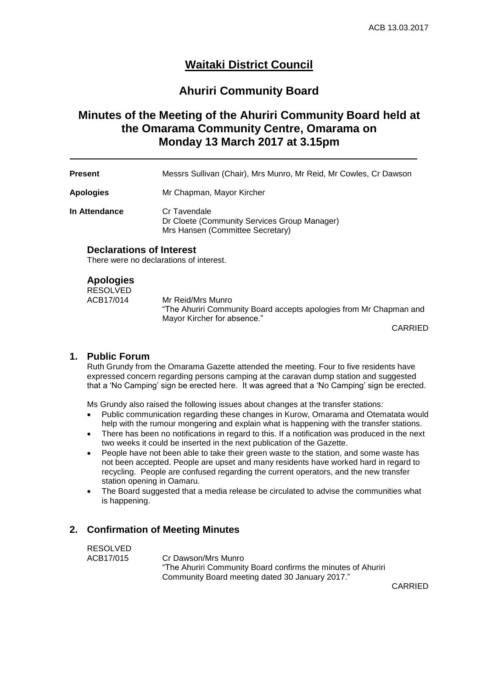# **Waitaki District Council**

## **Ahuriri Community Board**

# **Minutes of the Meeting of the Ahuriri Community Board held at the Omarama Community Centre, Omarama on Monday 13 March 2017 at 3.15pm**

**Present** Messrs Sullivan (Chair), Mrs Munro, Mr Reid, Mr Cowles, Cr Dawson

**Apologies** Mr Chapman, Mayor Kircher

**In Attendance Cr Tavendale** Dr Cloete (Community Services Group Manager) Mrs Hansen (Committee Secretary)

#### **Declarations of Interest**

There were no declarations of interest.

#### **Apologies**

RESOLVED<br>ACB17/014 Mr Reid/Mrs Munro "The Ahuriri Community Board accepts apologies from Mr Chapman and Mayor Kircher for absence."

CARRIED

#### **1. Public Forum**

Ruth Grundy from the Omarama Gazette attended the meeting. Four to five residents have expressed concern regarding persons camping at the caravan dump station and suggested that a 'No Camping' sign be erected here. It was agreed that a 'No Camping' sign be erected.

Ms Grundy also raised the following issues about changes at the transfer stations:

- Public communication regarding these changes in Kurow, Omarama and Otematata would help with the rumour mongering and explain what is happening with the transfer stations.
- There has been no notifications in regard to this. If a notification was produced in the next two weeks it could be inserted in the next publication of the Gazette.
- People have not been able to take their green waste to the station, and some waste has not been accepted. People are upset and many residents have worked hard in regard to recycling. People are confused regarding the current operators, and the new transfer station opening in Oamaru.
- The Board suggested that a media release be circulated to advise the communities what is happening.

#### **2. Confirmation of Meeting Minutes**

RESOLVED ACB17/015 Cr Dawson/Mrs Munro "The Ahuriri Community Board confirms the minutes of Ahuriri Community Board meeting dated 30 January 2017."

CARRIED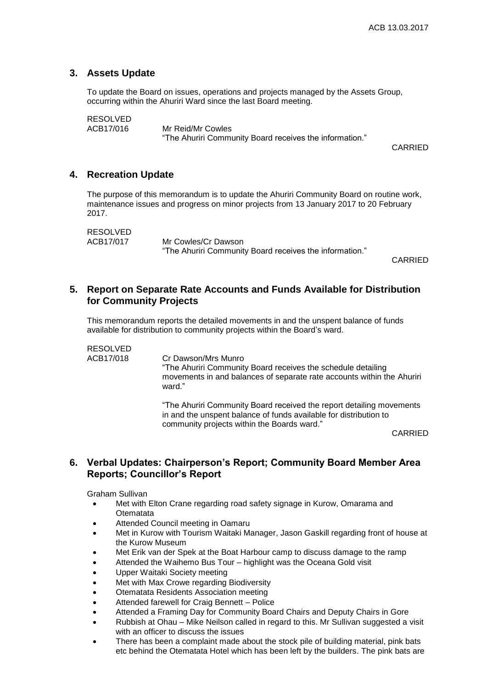#### **3. Assets Update**

To update the Board on issues, operations and projects managed by the Assets Group, occurring within the Ahuriri Ward since the last Board meeting.

RESOLVED

ACB17/016 Mr Reid/Mr Cowles "The Ahuriri Community Board receives the information."

CARRIED

#### **4. Recreation Update**

The purpose of this memorandum is to update the Ahuriri Community Board on routine work, maintenance issues and progress on minor projects from 13 January 2017 to 20 February 2017.

RESOLVED<br>ACB17/017 Mr Cowles/Cr Dawson "The Ahuriri Community Board receives the information."

CARRIED

### **5. Report on Separate Rate Accounts and Funds Available for Distribution for Community Projects**

This memorandum reports the detailed movements in and the unspent balance of funds available for distribution to community projects within the Board's ward.

RESOLVED

ACB17/018 Cr Dawson/Mrs Munro "The Ahuriri Community Board receives the schedule detailing movements in and balances of separate rate accounts within the Ahuriri ward."

> "The Ahuriri Community Board received the report detailing movements in and the unspent balance of funds available for distribution to community projects within the Boards ward."

CARRIED

### **6. Verbal Updates: Chairperson's Report; Community Board Member Area Reports; Councillor's Report**

Graham Sullivan

- Met with Elton Crane regarding road safety signage in Kurow, Omarama and **Otematata**
- Attended Council meeting in Oamaru
- Met in Kurow with Tourism Waitaki Manager, Jason Gaskill regarding front of house at the Kurow Museum
- Met Erik van der Spek at the Boat Harbour camp to discuss damage to the ramp
- Attended the Waihemo Bus Tour highlight was the Oceana Gold visit
- Upper Waitaki Society meeting
- Met with Max Crowe regarding Biodiversity
- Otematata Residents Association meeting
- Attended farewell for Craig Bennett Police
- Attended a Framing Day for Community Board Chairs and Deputy Chairs in Gore
- Rubbish at Ohau Mike Neilson called in regard to this. Mr Sullivan suggested a visit with an officer to discuss the issues
- There has been a complaint made about the stock pile of building material, pink bats etc behind the Otematata Hotel which has been left by the builders. The pink bats are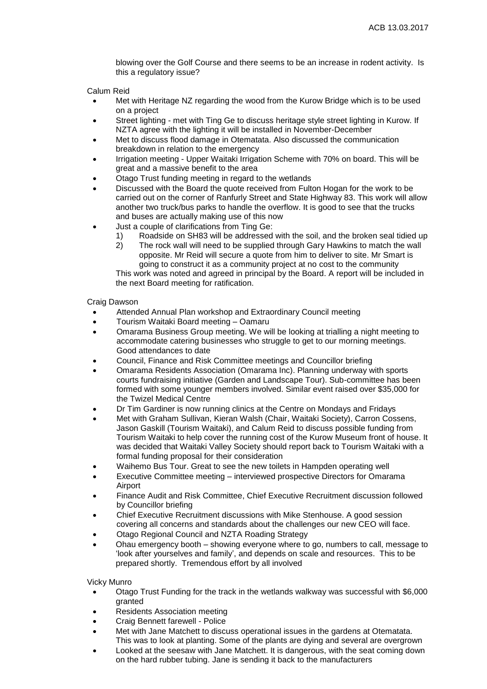blowing over the Golf Course and there seems to be an increase in rodent activity. Is this a regulatory issue?

Calum Reid

- Met with Heritage NZ regarding the wood from the Kurow Bridge which is to be used on a project
- Street lighting met with Ting Ge to discuss heritage style street lighting in Kurow. If NZTA agree with the lighting it will be installed in November-December
- Met to discuss flood damage in Otematata. Also discussed the communication breakdown in relation to the emergency
- Irrigation meeting Upper Waitaki Irrigation Scheme with 70% on board. This will be great and a massive benefit to the area
- Otago Trust funding meeting in regard to the wetlands
- Discussed with the Board the quote received from Fulton Hogan for the work to be carried out on the corner of Ranfurly Street and State Highway 83. This work will allow another two truck/bus parks to handle the overflow. It is good to see that the trucks and buses are actually making use of this now
- Just a couple of clarifications from Ting Ge:
	- 1) Roadside on SH83 will be addressed with the soil, and the broken seal tidied up
	- 2) The rock wall will need to be supplied through Gary Hawkins to match the wall opposite. Mr Reid will secure a quote from him to deliver to site. Mr Smart is going to construct it as a community project at no cost to the community

This work was noted and agreed in principal by the Board. A report will be included in the next Board meeting for ratification.

Craig Dawson

- Attended Annual Plan workshop and Extraordinary Council meeting
- Tourism Waitaki Board meeting Oamaru
- Omarama Business Group meeting. We will be looking at trialling a night meeting to accommodate catering businesses who struggle to get to our morning meetings. Good attendances to date
- Council, Finance and Risk Committee meetings and Councillor briefing
- Omarama Residents Association (Omarama Inc). Planning underway with sports courts fundraising initiative (Garden and Landscape Tour). Sub-committee has been formed with some younger members involved. Similar event raised over \$35,000 for the Twizel Medical Centre
- Dr Tim Gardiner is now running clinics at the Centre on Mondays and Fridays
- Met with Graham Sullivan, Kieran Walsh (Chair, Waitaki Society), Carron Cossens, Jason Gaskill (Tourism Waitaki), and Calum Reid to discuss possible funding from Tourism Waitaki to help cover the running cost of the Kurow Museum front of house. It was decided that Waitaki Valley Society should report back to Tourism Waitaki with a formal funding proposal for their consideration
- Waihemo Bus Tour. Great to see the new toilets in Hampden operating well
- Executive Committee meeting interviewed prospective Directors for Omarama Airport
- Finance Audit and Risk Committee, Chief Executive Recruitment discussion followed by Councillor briefing
- Chief Executive Recruitment discussions with Mike Stenhouse. A good session covering all concerns and standards about the challenges our new CEO will face.
- Otago Regional Council and NZTA Roading Strategy
- Ohau emergency booth showing everyone where to go, numbers to call, message to 'look after yourselves and family', and depends on scale and resources. This to be prepared shortly. Tremendous effort by all involved

Vicky Munro

- Otago Trust Funding for the track in the wetlands walkway was successful with \$6,000 granted
- Residents Association meeting
- Craig Bennett farewell Police
- Met with Jane Matchett to discuss operational issues in the gardens at Otematata. This was to look at planting. Some of the plants are dying and several are overgrown
- Looked at the seesaw with Jane Matchett. It is dangerous, with the seat coming down on the hard rubber tubing. Jane is sending it back to the manufacturers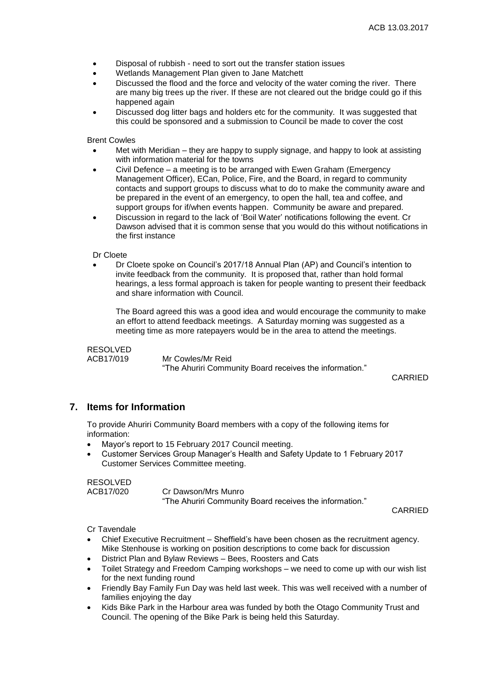- Disposal of rubbish need to sort out the transfer station issues
- Wetlands Management Plan given to Jane Matchett
- Discussed the flood and the force and velocity of the water coming the river. There are many big trees up the river. If these are not cleared out the bridge could go if this happened again
- Discussed dog litter bags and holders etc for the community. It was suggested that this could be sponsored and a submission to Council be made to cover the cost

Brent Cowles

- Met with Meridian they are happy to supply signage, and happy to look at assisting with information material for the towns
- Civil Defence a meeting is to be arranged with Ewen Graham (Emergency Management Officer), ECan, Police, Fire, and the Board, in regard to community contacts and support groups to discuss what to do to make the community aware and be prepared in the event of an emergency, to open the hall, tea and coffee, and support groups for if/when events happen. Community be aware and prepared.
- Discussion in regard to the lack of 'Boil Water' notifications following the event. Cr Dawson advised that it is common sense that you would do this without notifications in the first instance

Dr Cloete

 Dr Cloete spoke on Council's 2017/18 Annual Plan (AP) and Council's intention to invite feedback from the community. It is proposed that, rather than hold formal hearings, a less formal approach is taken for people wanting to present their feedback and share information with Council.

The Board agreed this was a good idea and would encourage the community to make an effort to attend feedback meetings. A Saturday morning was suggested as a meeting time as more ratepayers would be in the area to attend the meetings.

RESOLVED<br>ACB17/019

Mr Cowles/Mr Reid

"The Ahuriri Community Board receives the information."

CARRIED

#### **7. Items for Information**

To provide Ahuriri Community Board members with a copy of the following items for information:

- Mayor's report to 15 February 2017 Council meeting.
- Customer Services Group Manager's Health and Safety Update to 1 February 2017 Customer Services Committee meeting.

RESOLVED

ACB17/020 Cr Dawson/Mrs Munro "The Ahuriri Community Board receives the information."

CARRIED

Cr Tavendale

- Chief Executive Recruitment Sheffield's have been chosen as the recruitment agency. Mike Stenhouse is working on position descriptions to come back for discussion
- District Plan and Bylaw Reviews Bees, Roosters and Cats
- Toilet Strategy and Freedom Camping workshops we need to come up with our wish list for the next funding round
- Friendly Bay Family Fun Day was held last week. This was well received with a number of families enjoying the day
- Kids Bike Park in the Harbour area was funded by both the Otago Community Trust and Council. The opening of the Bike Park is being held this Saturday.